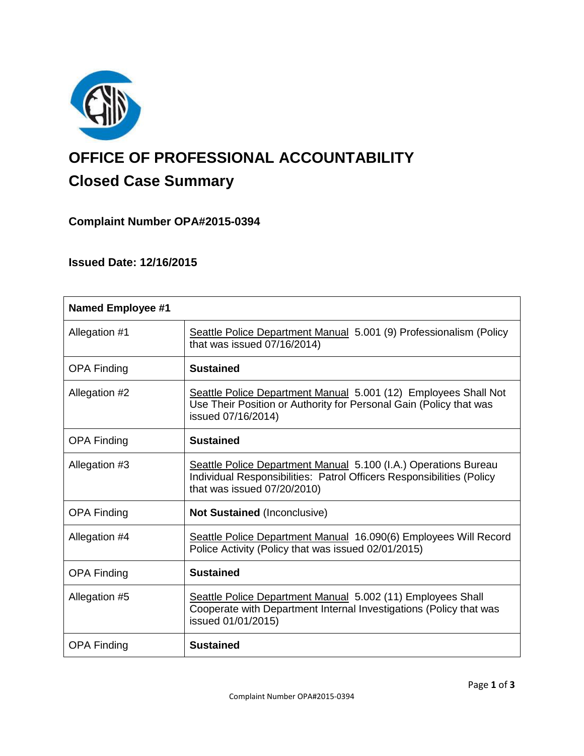

# **OFFICE OF PROFESSIONAL ACCOUNTABILITY Closed Case Summary**

# **Complaint Number OPA#2015-0394**

# **Issued Date: 12/16/2015**

| <b>Named Employee #1</b> |                                                                                                                                                                         |
|--------------------------|-------------------------------------------------------------------------------------------------------------------------------------------------------------------------|
| Allegation #1            | Seattle Police Department Manual 5.001 (9) Professionalism (Policy<br>that was issued 07/16/2014)                                                                       |
| <b>OPA Finding</b>       | <b>Sustained</b>                                                                                                                                                        |
| Allegation #2            | Seattle Police Department Manual 5.001 (12) Employees Shall Not<br>Use Their Position or Authority for Personal Gain (Policy that was<br>issued 07/16/2014)             |
| <b>OPA Finding</b>       | <b>Sustained</b>                                                                                                                                                        |
| Allegation #3            | Seattle Police Department Manual 5.100 (I.A.) Operations Bureau<br>Individual Responsibilities: Patrol Officers Responsibilities (Policy<br>that was issued 07/20/2010) |
| <b>OPA Finding</b>       | <b>Not Sustained (Inconclusive)</b>                                                                                                                                     |
| Allegation #4            | Seattle Police Department Manual 16.090(6) Employees Will Record<br>Police Activity (Policy that was issued 02/01/2015)                                                 |
| <b>OPA Finding</b>       | <b>Sustained</b>                                                                                                                                                        |
| Allegation #5            | Seattle Police Department Manual 5.002 (11) Employees Shall<br>Cooperate with Department Internal Investigations (Policy that was<br>issued 01/01/2015)                 |
| <b>OPA Finding</b>       | <b>Sustained</b>                                                                                                                                                        |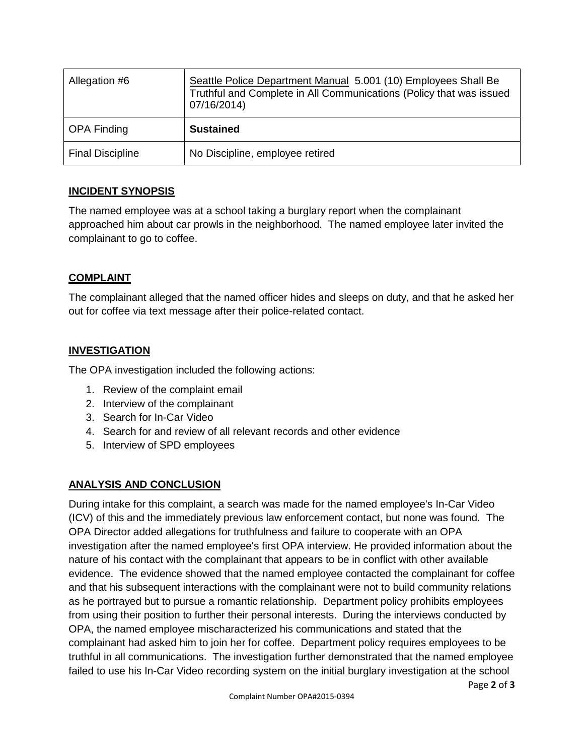| Allegation #6           | Seattle Police Department Manual 5.001 (10) Employees Shall Be<br>Truthful and Complete in All Communications (Policy that was issued<br>07/16/2014) |
|-------------------------|------------------------------------------------------------------------------------------------------------------------------------------------------|
| OPA Finding             | <b>Sustained</b>                                                                                                                                     |
| <b>Final Discipline</b> | No Discipline, employee retired                                                                                                                      |

## **INCIDENT SYNOPSIS**

The named employee was at a school taking a burglary report when the complainant approached him about car prowls in the neighborhood. The named employee later invited the complainant to go to coffee.

## **COMPLAINT**

The complainant alleged that the named officer hides and sleeps on duty, and that he asked her out for coffee via text message after their police-related contact.

# **INVESTIGATION**

The OPA investigation included the following actions:

- 1. Review of the complaint email
- 2. Interview of the complainant
- 3. Search for In-Car Video
- 4. Search for and review of all relevant records and other evidence
- 5. Interview of SPD employees

# **ANALYSIS AND CONCLUSION**

During intake for this complaint, a search was made for the named employee's In-Car Video (ICV) of this and the immediately previous law enforcement contact, but none was found. The OPA Director added allegations for truthfulness and failure to cooperate with an OPA investigation after the named employee's first OPA interview. He provided information about the nature of his contact with the complainant that appears to be in conflict with other available evidence. The evidence showed that the named employee contacted the complainant for coffee and that his subsequent interactions with the complainant were not to build community relations as he portrayed but to pursue a romantic relationship. Department policy prohibits employees from using their position to further their personal interests. During the interviews conducted by OPA, the named employee mischaracterized his communications and stated that the complainant had asked him to join her for coffee. Department policy requires employees to be truthful in all communications. The investigation further demonstrated that the named employee failed to use his In-Car Video recording system on the initial burglary investigation at the school